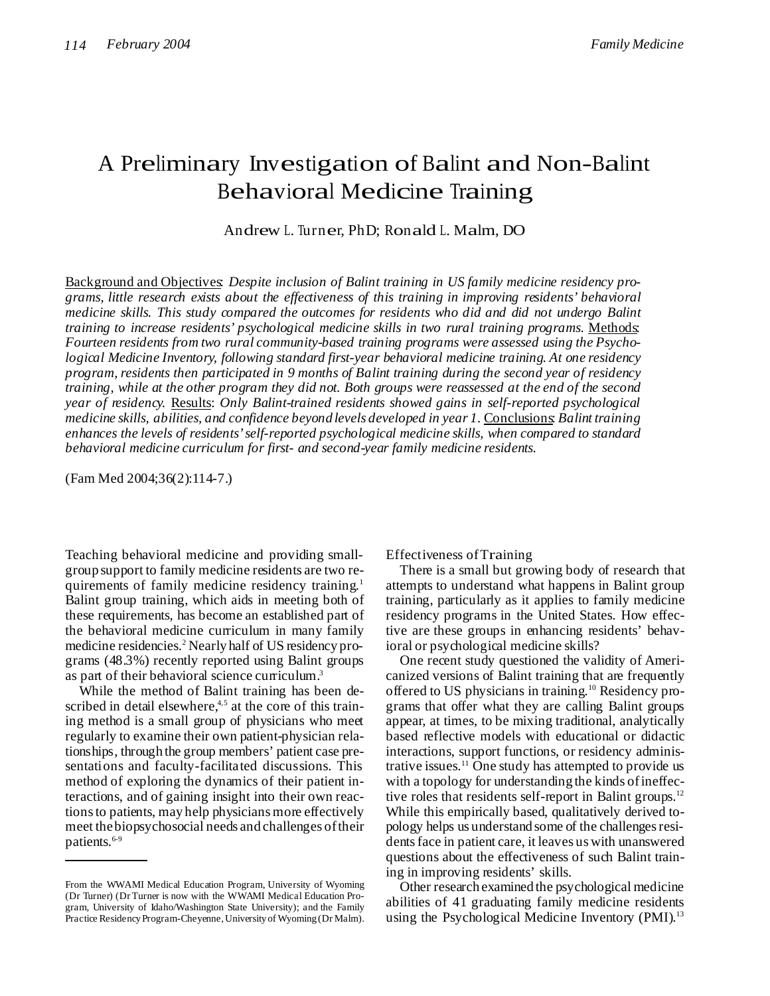# <sup>A</sup> Preliminary Investigation of Balint and Non-Balint Behavioral Medicine Training

Andrew L. Turner, PhD; Ronald L. Malm, DO

Background and Objectives: *Despite inclusion of Balint training in US family medicine residency programs, little research exists about the effectiveness of this training in improving residents' behavioral medicine skills. This study compared the outcomes for residents who did and did not undergo Balint training to increase residents' psychological medicine skills in two rural training programs.* Methods: *Fourteen residents from two rural community-based training programs were assessed using the Psychological Medicine Inventory, following standard first-year behavioral medicine training. At one residency program, residents then participated in 9 months of Balint training during the second year of residency* training, while at the other program they did not. Both groups were reassessed at the end of the second *year of residency.* Results: *Only Balint-trained residents showed gains in self-reported psychological medicine skills, abilities, and confidence beyond levels developed in year 1.* Conclusions: *Balint training enhances the levels of residents'self-reported psychological medicine skills, when compared to standard behavioral medicine curriculum for first- and second-year family medicine residents.*

(Fam Med 2004;36(2):114-7.)

Teaching behavioral medicine and providing smallgroup support to family medicine residents are two requirements of family medicine residency training.<sup>1</sup> Balint group training, which aids in meeting both of these requirements, has become an established part of the behavioral medicine curriculum in many family medicine residencies. <sup>2</sup> Nearly half of US residency programs (48.3%) recently reported using Balint groups as part of their behavioral science curriculum.<sup>3</sup>

While the method of Balint training has been described in detail elsewhere,<sup>4,5</sup> at the core of this training method is a small group of physicians who meet regularly to examine their own patient-physician relationships, through the group members' patient case presentations and faculty-facilitated discussions. This method of exploring the dynamics of their patient interactions, and of gaining insight into their own reactionsto patients, may help physicians more effectively meet thebiopsychosocial needs and challenges oftheir patients. 6-9

Effectiveness ofTraining

There is a small but growing body of research that attempts to understand what happens in Balint group training, particularly as it applies to family medicine residency programs in the United States. How effective are these groups in enhancing residents' behavioral or psychological medicine skills?

One recent study questioned the validity of Americanized versions of Balint training that are frequently offered to US physicians in training. <sup>10</sup> Residency programs that offer what they are calling Balint groups appear, at times, to be mixing traditional, analytically based reflective models with educational or didactic interactions, support functions, or residency administrative issues. <sup>11</sup> One study has attempted to provide us with a topology for understanding the kinds of ineffective roles that residents self-report in Balint groups.<sup>12</sup> While this empirically based, qualitatively derived topology helps us understand some of the challengesresidentsface in patient care, it leaves us with unanswered questions about the effectiveness of such Balint training in improving residents' skills.

Other research examined the psychological medicine abilities of 41 graduating family medicine residents using the Psychological Medicine Inventory (PMI).<sup>13</sup>

From the WWAMI Medical Education Program, University of Wyoming (Dr Turner) (Dr Turner is now with the WWAMI Medical Education Program, University of Idaho/Washington State University); and the Family Practice Residency Program-Cheyenne, University of Wyoming (Dr Malm).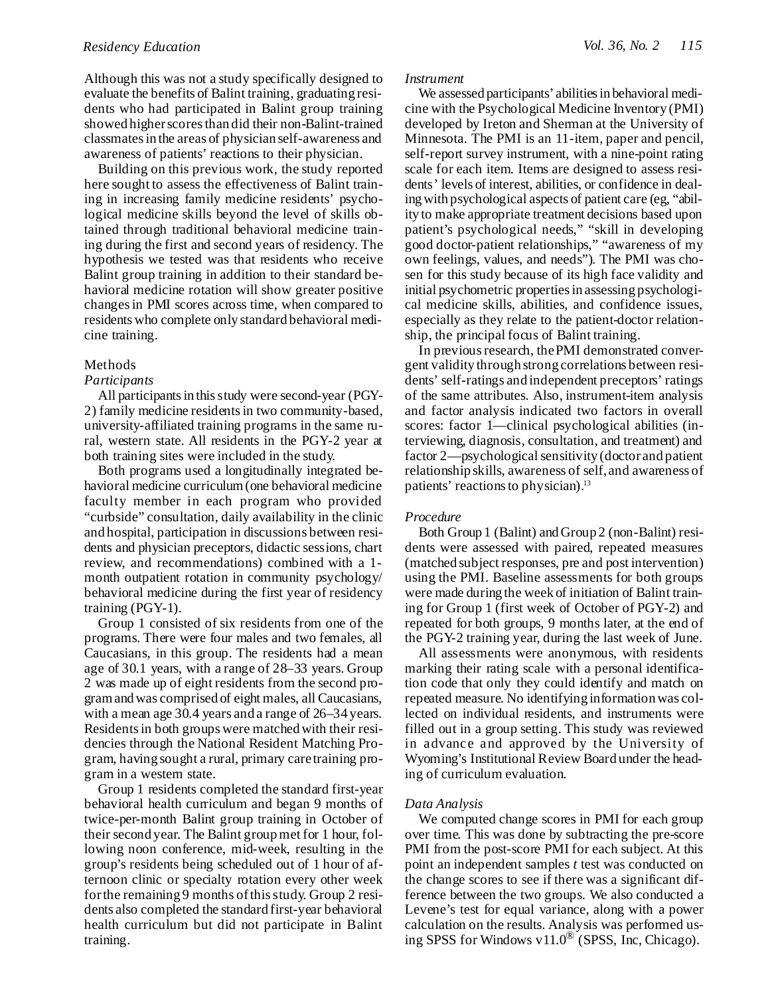Although this was not a study specifically designed to evaluate the benefits of Balint training, graduating residents who had participated in Balint group training showed higher scores than did their non-Balint-trained classmatesin the areas of physician self-awareness and awareness of patients' reactions to their physician.

Building on this previous work, the study reported here sought to assess the effectiveness of Balint training in increasing family medicine residents' psychological medicine skills beyond the level of skills obtained through traditional behavioral medicine training during the first and second years of residency. The hypothesis we tested was that residents who receive Balint group training in addition to their standard behavioral medicine rotation will show greater positive changesin PMI scores across time, when compared to residents who complete only standard behavioral medicine training.

# Methods

#### *Participants*

All participants in this study were second-year (PGY-2) family medicine residentsin two community-based, university-affiliated training programs in the same rural, western state. All residents in the PGY-2 year at both training sites were included in the study.

Both programs used a longitudinally integrated behavioral medicine curriculum(one behavioral medicine faculty member in each program who provided "curbside" consultation, daily availability in the clinic and hospital, participation in discussions between residents and physician preceptors, didactic sessions, chart review, and recommendations) combined with a 1 month outpatient rotation in community psychology/ behavioral medicine during the first year of residency training (PGY-1).

Group 1 consisted of six residents from one of the programs. There were four males and two females, all Caucasians, in this group. The residents had a mean age of 30.1 years, with a range of 28–33 years. Group 2 was made up of eight residents from the second programandwas comprised of eight males, all Caucasians, with a mean age 30.4 years and a range of 26–34 years. Residents in both groups were matched with their residencies through the National Resident Matching Program, having sought a rural, primary caretraining program in a western state.

Group 1 residents completed the standard first-year behavioral health curriculum and began 9 months of twice-per-month Balint group training in October of their second year. The Balint groupmet for 1 hour, following noon conference, mid-week, resulting in the group's residents being scheduled out of 1 hour of afternoon clinic or specialty rotation every other week forthe remaining 9 months ofthisstudy. Group 2 residents also completed the standard first-year behavioral health curriculum but did not participate in Balint training.

#### *Instrument*

We assessed participants' abilities in behavioral medicine with the Psychological Medicine Inventory (PMI) developed by Ireton and Sherman at the University of Minnesota. The PMI is an 11-item, paper and pencil, self-report survey instrument, with a nine-point rating scale for each item. Items are designed to assess residents' levels of interest, abilities, or confidence in dealingwith psychological aspects of patient care (eg, "ability to make appropriate treatment decisions based upon patient's psychological needs," "skill in developing good doctor-patient relationships," "awareness of my own feelings, values, and needs"). The PMI was chosen for this study because of its high face validity and initial psychometric properties in assessing psychological medicine skills, abilities, and confidence issues, especially as they relate to the patient-doctor relationship, the principal focus of Balint training.

In previous research, the PMI demonstrated convergent validity through strong correlations between residents' self-ratings and independent preceptors' ratings of the same attributes. Also, instrument-item analysis and factor analysis indicated two factors in overall scores: factor 1—clinical psychological abilities (interviewing, diagnosis, consultation, and treatment) and factor 2—psychological sensitivity (doctor and patient relationship skills, awareness of self, and awareness of patients' reactions to physician).<sup>13</sup>

# *Procedure*

Both Group 1 (Balint) andGroup 2 (non-Balint) residents were assessed with paired, repeated measures (matched subject responses, pre and post intervention) using the PMI. Baseline assessments for both groups were made during the week of initiation of Balint training for Group 1 (first week of October of PGY-2) and repeated for both groups, 9 months later, at the end of the PGY-2 training year, during the last week of June.

All assessments were anonymous, with residents marking their rating scale with a personal identification code that only they could identify and match on repeated measure. No identifying informationwas collected on individual residents, and instruments were filled out in a group setting. This study was reviewed in advance and approved by the University of Wyoming's Institutional Review Board under the heading of curriculum evaluation.

# *Data Analysis*

We computed change scores in PMI for each group over time. This was done by subtracting the pre-score PMI from the post-score PMI for each subject. At this point an independent samples *t* test was conducted on the change scores to see if there was a significant difference between the two groups. We also conducted a Levene's test for equal variance, along with a power calculation on the results. Analysis was performed using SPSS for Windows v11.0 ® (SPSS, Inc, Chicago).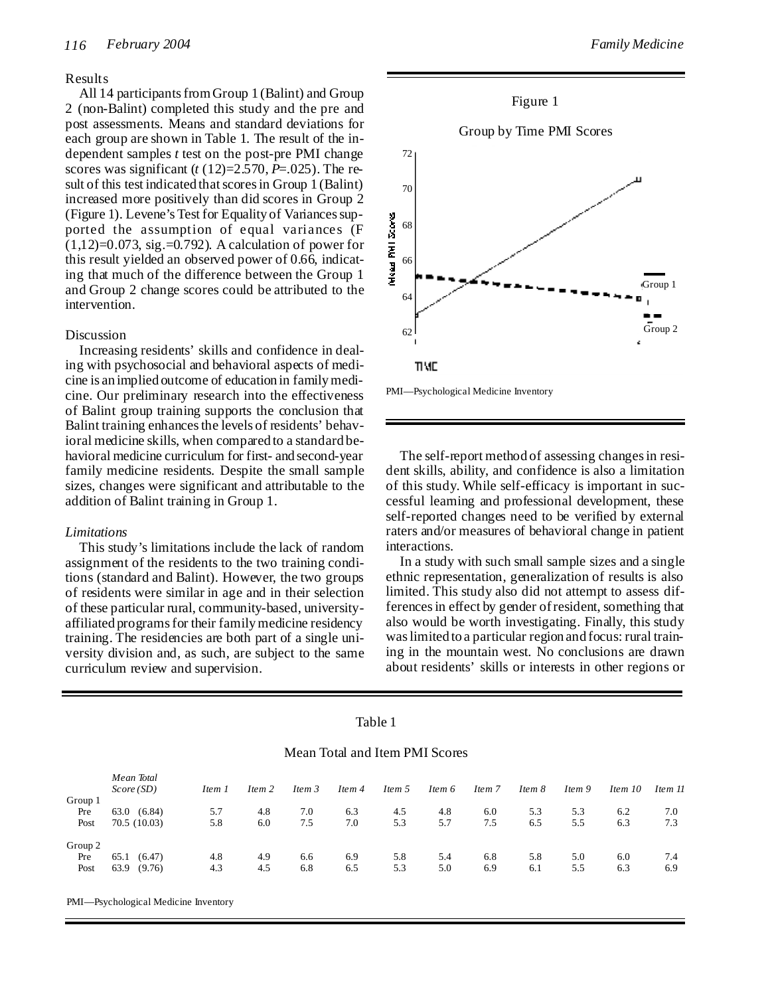# Results

All 14 participants from Group 1 (Balint) and Group 2 (non-Balint) completed this study and the pre and post assessments. Means and standard deviations for each group are shown in Table 1. The result of the independent samples *t* test on the post-pre PMI change scores was significant  $(t(12)=2.570, P=.025)$ . The result of this test indicated that scores in Group 1 (Balint) increased more positively than did scores in Group 2 (Figure 1). Levene's Test for Equality of Variances supported the assumption of equal variances (F  $(1,12)=0.073$ , sig. = 0.792). A calculation of power for this result yielded an observed power of 0.66, indicating that much of the difference between the Group 1 and Group 2 change scores could be attributed to the intervention.

#### Discussion

Increasing residents' skills and confidence in dealing with psychosocial and behavioral aspects of medicine is an implied outcome of education in familymedicine. Our preliminary research into the effectiveness of Balint group training supports the conclusion that Balint training enhances the levels of residents' behavioral medicine skills, when compared to a standard behavioral medicine curriculum for first- and second-year family medicine residents. Despite the small sample sizes, changes were significant and attributable to the addition of Balint training in Group 1.

# *Limitations*

This study's limitations include the lack of random assignment of the residents to the two training conditions (standard and Balint). However, the two groups of residents were similar in age and in their selection of these particular rural, community-based, universityaffiliated programsfor their familymedicine residency training. The residencies are both part of a single university division and, as such, are subject to the same curriculum review and supervision.



PMI—Psychological Medicine Inventory

The self-report method of assessing changes in resident skills, ability, and confidence is also a limitation of this study. While self-efficacy is important in successful learning and professional development, these self-reported changes need to be verified by external raters and/or measures of behavioral change in patient interactions.

In a study with such small sample sizes and a single ethnic representation, generalization of results is also limited. This study also did not attempt to assess differencesin effect by gender ofresident, something that also would be worth investigating. Finally, this study waslimited to a particular region and focus: rural training in the mountain west. No conclusions are drawn about residents' skills or interests in other regions or

|         | Mean Total and Item PMI Scores |        |        |        |        |        |        |        |        |        |         |         |  |
|---------|--------------------------------|--------|--------|--------|--------|--------|--------|--------|--------|--------|---------|---------|--|
|         | Mean Total<br>Score(SD)        | Item 1 | Item 2 | Item 3 | Item 4 | Item 5 | Item 6 | Item 7 | Item 8 | Item 9 | Item 10 | Item 11 |  |
| Group 1 |                                |        |        |        |        |        |        |        |        |        |         |         |  |
| Pre     | 63.0 (6.84)                    | 5.7    | 4.8    | 7.0    | 6.3    | 4.5    | 4.8    | 6.0    | 5.3    | 5.3    | 6.2     | 7.0     |  |
| Post    | 70.5 (10.03)                   | 5.8    | 6.0    | 7.5    | 7.0    | 5.3    | 5.7    | 7.5    | 6.5    | 5.5    | 6.3     | 7.3     |  |
| Group 2 |                                |        |        |        |        |        |        |        |        |        |         |         |  |
| Pre     | 65.1 (6.47)                    | 4.8    | 4.9    | 6.6    | 6.9    | 5.8    | 5.4    | 6.8    | 5.8    | 5.0    | 6.0     | 7.4     |  |
| Post    | 63.9<br>(9.76)                 | 4.3    | 4.5    | 6.8    | 6.5    | 5.3    | 5.0    | 6.9    | 6.1    | 5.5    | 6.3     | 6.9     |  |

Table 1

PMI—Psychological Medicine Inventory